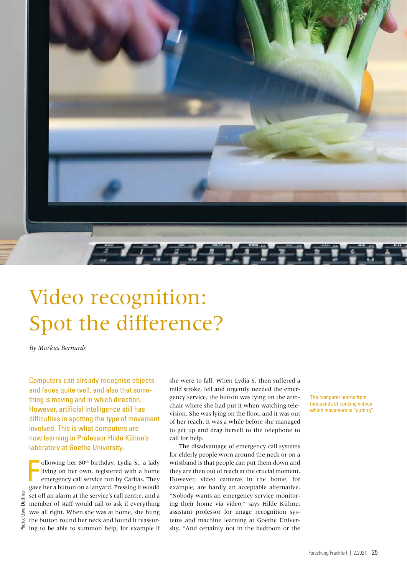

# Video recognition: Spot the difference?

*By Markus Bernards*

Computers can already recognise objects and faces quite well, and also that something is moving and in which direction. However, artificial intelligence still has difficulties in spotting the type of movement involved. This is what computers are now learning in Professor Hilde Kühne's laboratory at Goethe University.

ollowing her 80<sup>th</sup> birthday, Lydia S., a lady<br>living on her own, registered with a home<br>emergency call service run by Caritas. They<br>gave her a button on a lanyard. Pressing it would ollowing her 80th birthday, Lydia S., a lady living on her own, registered with a home emergency call service run by Caritas. They set off an alarm at the service's call centre, and a member of staff would call to ask if everything was all right. When she was at home, she hung the button round her neck and found it reassuring to be able to summon help, for example if

she were to fall. When Lydia S. then suffered a mild stroke, fell and urgently needed the emergency service, the button was lying on the armchair where she had put it when watching television. She was lying on the floor, and it was out of her reach. It was a while before she managed to get up and drag herself to the telephone to call for help.

The disadvantage of emergency call systems for elderly people worn around the neck or on a wristband is that people can put them down and they are then out of reach at the crucial moment. However, video cameras in the home, for example, are hardly an acceptable alternative. "Nobody wants an emergency service monitoring their home via video," says Hilde Kühne, assistant professor for image recognition systems and machine learning at Goethe University. "And certainly not in the bedroom or the

The computer learns from thousands of cooking videos which movement is "cutting".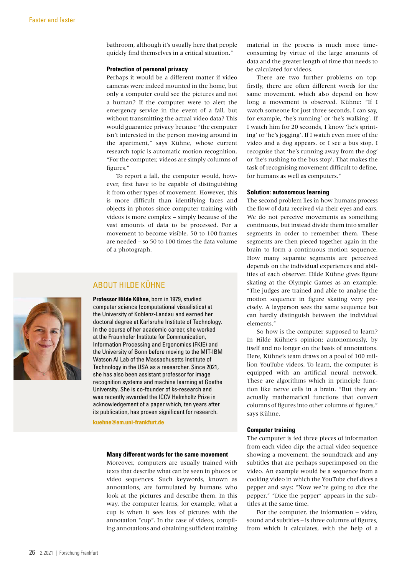bathroom, although it's usually here that people quickly find themselves in a critical situation."

#### **Protection of personal privacy**

Perhaps it would be a different matter if video cameras were indeed mounted in the home, but only a computer could see the pictures and not a human? If the computer were to alert the emergency service in the event of a fall, but without transmitting the actual video data? This would guarantee privacy because "the computer isn't interested in the person moving around in the apartment," says Kühne, whose current research topic is automatic motion recognition. "For the computer, videos are simply columns of figures."

To report a fall, the computer would, however, first have to be capable of distinguishing it from other types of movement. However, this is more difficult than identifying faces and objects in photos since computer training with videos is more complex – simply because of the vast amounts of data to be processed. For a movement to become visible, 50 to 100 frames are needed – so 50 to 100 times the data volume of a photograph.

### ABOUT HILDE KÜHNE

**Professor Hilde Kühne**, born in 1979, studied computer science (computational visualistics) at the University of Koblenz-Landau and earned her doctoral degree at Karlsruhe Institute of Technology. In the course of her academic career, she worked at the Fraunhofer Institute for Communication, Information Processing and Ergonomics (FKIE) and the University of Bonn before moving to the MIT-IBM Watson AI Lab of the Massachusetts Institute of Technology in the USA as a researcher. Since 2021, she has also been assistant professor for image recognition systems and machine learning at Goethe University. She is co-founder of ks-research and was recently awarded the ICCV Helmholtz Prize in acknowledgement of a paper which, ten years after its publication, has proven significant for research.

**[kuehne@em.uni-frankfurt.de](mailto:kuehne@em.uni-frankfurt.de)**

#### **Many different words for the same movement**

Moreover, computers are usually trained with texts that describe what can be seen in photos or video sequences. Such keywords, known as annotations, are formulated by humans who look at the pictures and describe them. In this way, the computer learns, for example, what a cup is when it sees lots of pictures with the annotation "cup". In the case of videos, compiling annotations and obtaining sufficient training material in the process is much more timeconsuming by virtue of the large amounts of data and the greater length of time that needs to be calculated for videos.

There are two further problems on top: firstly, there are often different words for the same movement, which also depend on how long a movement is observed. Kühne: "If I watch someone for just three seconds, I can say, for example, 'he's running' or 'he's walking'. If I watch him for 20 seconds, I know 'he's sprinting' or 'he's jogging'. If I watch even more of the video and a dog appears, or I see a bus stop, I recognise that 'he's running away from the dog' or 'he's rushing to the bus stop'. That makes the task of recognising movement difficult to define, for humans as well as computers."

#### **Solution: autonomous learning**

The second problem lies in how humans process the flow of data received via their eyes and ears. We do not perceive movements as something continuous, but instead divide them into smaller segments in order to remember them. These segments are then pieced together again in the brain to form a continuous motion sequence. How many separate segments are perceived depends on the individual experiences and abilities of each observer. Hilde Kühne gives figure skating at the Olympic Games as an example: "The judges are trained and able to analyse the motion sequence in figure skating very precisely. A layperson sees the same sequence but can hardly distinguish between the individual elements."

So how is the computer supposed to learn? In Hilde Kühne's opinion: autonomously, by itself and no longer on the basis of annotations. Here, Kühne's team draws on a pool of 100 million YouTube videos. To learn, the computer is equipped with an artificial neural network. These are algorithms which in principle function like nerve cells in a brain. "But they are actually mathematical functions that convert columns of figures into other columns of figures," says Kühne.

#### **Computer training**

The computer is fed three pieces of information from each video clip: the actual video sequence showing a movement, the soundtrack and any subtitles that are perhaps superimposed on the video. An example would be a sequence from a cooking video in which the YouTube chef dices a pepper and says: "Now we're going to dice the pepper." "Dice the pepper" appears in the subtitles at the same time.

For the computer, the information – video, sound and subtitles – is three columns of figures, from which it calculates, with the help of a